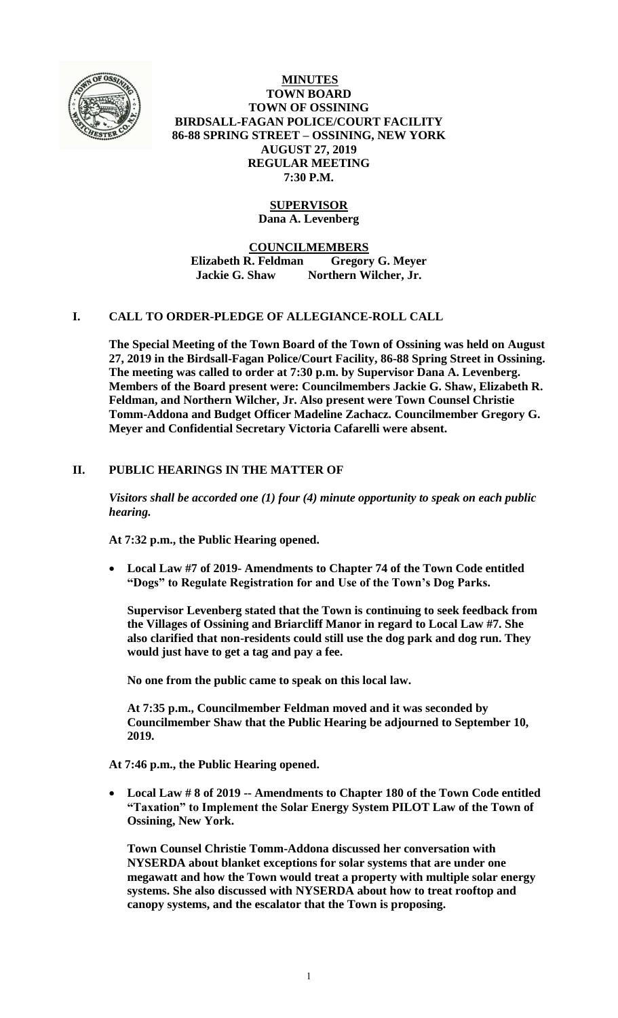

**MINUTES TOWN BOARD TOWN OF OSSINING BIRDSALL-FAGAN POLICE/COURT FACILITY 86-88 SPRING STREET – OSSINING, NEW YORK AUGUST 27, 2019 REGULAR MEETING 7:30 P.M.**

# **SUPERVISOR**

**Dana A. Levenberg**

**COUNCILMEMBERS**

**Elizabeth R. Feldman Gregory G. Meyer Jackie G. Shaw Northern Wilcher, Jr.**

### **I. CALL TO ORDER-PLEDGE OF ALLEGIANCE-ROLL CALL**

**The Special Meeting of the Town Board of the Town of Ossining was held on August 27, 2019 in the Birdsall-Fagan Police/Court Facility, 86-88 Spring Street in Ossining. The meeting was called to order at 7:30 p.m. by Supervisor Dana A. Levenberg. Members of the Board present were: Councilmembers Jackie G. Shaw, Elizabeth R. Feldman, and Northern Wilcher, Jr. Also present were Town Counsel Christie Tomm-Addona and Budget Officer Madeline Zachacz. Councilmember Gregory G. Meyer and Confidential Secretary Victoria Cafarelli were absent.**

## **II. PUBLIC HEARINGS IN THE MATTER OF**

*Visitors shall be accorded one (1) four (4) minute opportunity to speak on each public hearing.*

**At 7:32 p.m., the Public Hearing opened.**

 **Local Law #7 of 2019- Amendments to Chapter 74 of the Town Code entitled "Dogs" to Regulate Registration for and Use of the Town's Dog Parks.**

**Supervisor Levenberg stated that the Town is continuing to seek feedback from the Villages of Ossining and Briarcliff Manor in regard to Local Law #7. She also clarified that non-residents could still use the dog park and dog run. They would just have to get a tag and pay a fee.** 

**No one from the public came to speak on this local law.**

**At 7:35 p.m., Councilmember Feldman moved and it was seconded by Councilmember Shaw that the Public Hearing be adjourned to September 10, 2019.**

**At 7:46 p.m., the Public Hearing opened.**

 **Local Law # 8 of 2019 -- Amendments to Chapter 180 of the Town Code entitled "Taxation" to Implement the Solar Energy System PILOT Law of the Town of Ossining, New York.**

**Town Counsel Christie Tomm-Addona discussed her conversation with NYSERDA about blanket exceptions for solar systems that are under one megawatt and how the Town would treat a property with multiple solar energy systems. She also discussed with NYSERDA about how to treat rooftop and canopy systems, and the escalator that the Town is proposing.**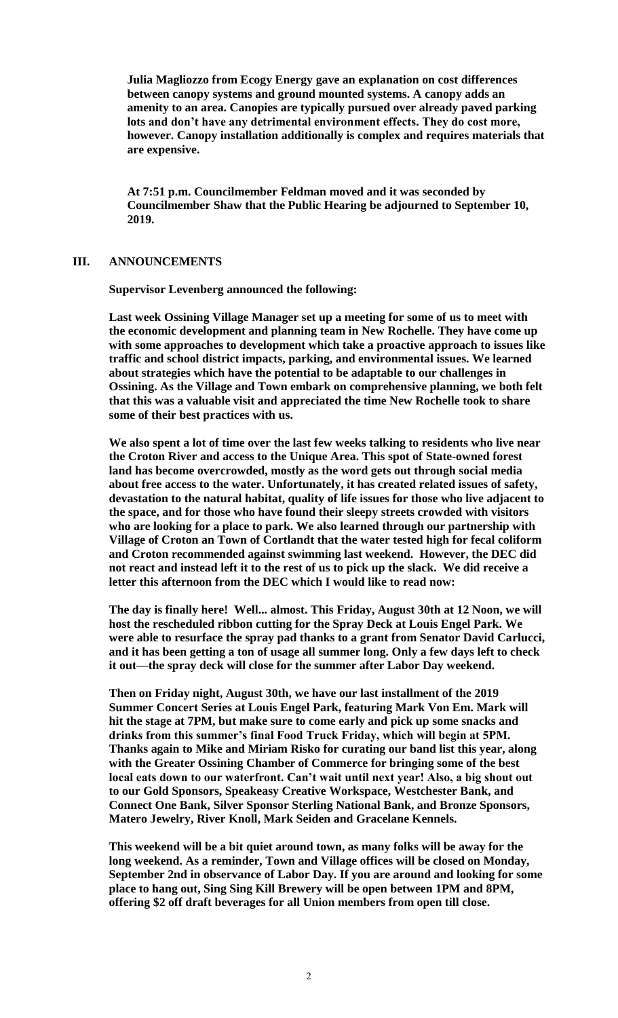**Julia Magliozzo from Ecogy Energy gave an explanation on cost differences between canopy systems and ground mounted systems. A canopy adds an amenity to an area. Canopies are typically pursued over already paved parking lots and don't have any detrimental environment effects. They do cost more, however. Canopy installation additionally is complex and requires materials that are expensive.** 

**At 7:51 p.m. Councilmember Feldman moved and it was seconded by Councilmember Shaw that the Public Hearing be adjourned to September 10, 2019.**

#### **III. ANNOUNCEMENTS**

**Supervisor Levenberg announced the following:**

**Last week Ossining Village Manager set up a meeting for some of us to meet with the economic development and planning team in New Rochelle. They have come up with some approaches to development which take a proactive approach to issues like traffic and school district impacts, parking, and environmental issues. We learned about strategies which have the potential to be adaptable to our challenges in Ossining. As the Village and Town embark on comprehensive planning, we both felt that this was a valuable visit and appreciated the time New Rochelle took to share some of their best practices with us.**

**We also spent a lot of time over the last few weeks talking to residents who live near the Croton River and access to the Unique Area. This spot of State-owned forest land has become overcrowded, mostly as the word gets out through social media about free access to the water. Unfortunately, it has created related issues of safety, devastation to the natural habitat, quality of life issues for those who live adjacent to the space, and for those who have found their sleepy streets crowded with visitors who are looking for a place to park. We also learned through our partnership with Village of Croton an Town of Cortlandt that the water tested high for fecal coliform and Croton recommended against swimming last weekend. However, the DEC did not react and instead left it to the rest of us to pick up the slack. We did receive a letter this afternoon from the DEC which I would like to read now:**

**The day is finally here! Well... almost. This Friday, August 30th at 12 Noon, we will host the rescheduled ribbon cutting for the Spray Deck at Louis Engel Park. We were able to resurface the spray pad thanks to a grant from Senator David Carlucci, and it has been getting a ton of usage all summer long. Only a few days left to check it out—the spray deck will close for the summer after Labor Day weekend.**

**Then on Friday night, August 30th, we have our last installment of the 2019 Summer Concert Series at Louis Engel Park, featuring Mark Von Em. Mark will hit the stage at 7PM, but make sure to come early and pick up some snacks and drinks from this summer's final Food Truck Friday, which will begin at 5PM. Thanks again to Mike and Miriam Risko for curating our band list this year, along with the Greater Ossining Chamber of Commerce for bringing some of the best local eats down to our waterfront. Can't wait until next year! Also, a big shout out to our Gold Sponsors, Speakeasy Creative Workspace, Westchester Bank, and Connect One Bank, Silver Sponsor Sterling National Bank, and Bronze Sponsors, Matero Jewelry, River Knoll, Mark Seiden and Gracelane Kennels.**

**This weekend will be a bit quiet around town, as many folks will be away for the long weekend. As a reminder, Town and Village offices will be closed on Monday, September 2nd in observance of Labor Day. If you are around and looking for some place to hang out, Sing Sing Kill Brewery will be open between 1PM and 8PM, offering \$2 off draft beverages for all Union members from open till close.**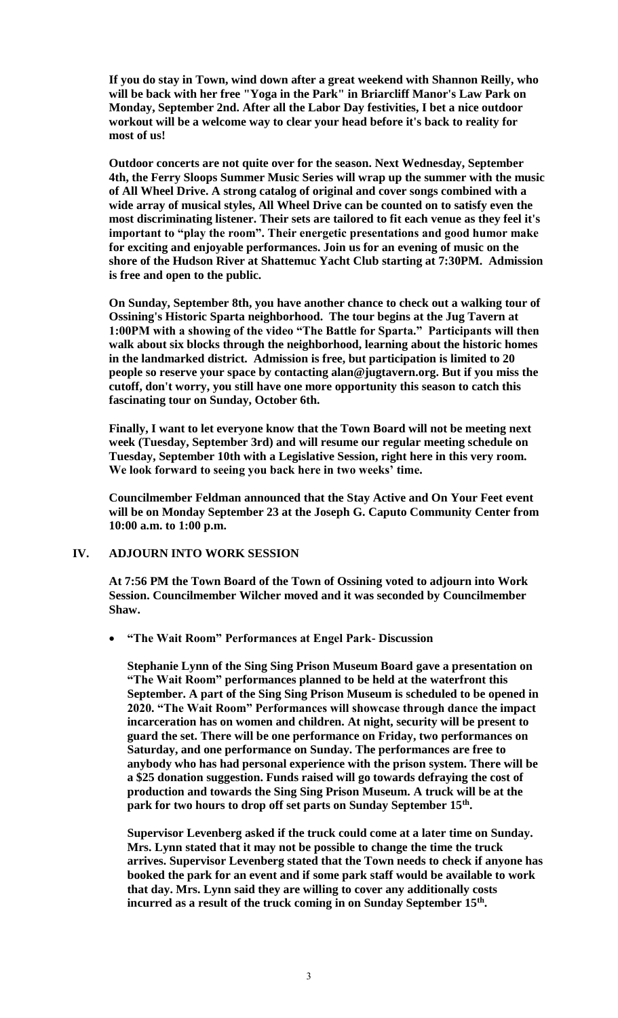**If you do stay in Town, wind down after a great weekend with Shannon Reilly, who will be back with her free "Yoga in the Park" in Briarcliff Manor's Law Park on Monday, September 2nd. After all the Labor Day festivities, I bet a nice outdoor workout will be a welcome way to clear your head before it's back to reality for most of us!**

**Outdoor concerts are not quite over for the season. Next Wednesday, September 4th, the Ferry Sloops Summer Music Series will wrap up the summer with the music of All Wheel Drive. A strong catalog of original and cover songs combined with a wide array of musical styles, All Wheel Drive can be counted on to satisfy even the most discriminating listener. Their sets are tailored to fit each venue as they feel it's important to "play the room". Their energetic presentations and good humor make for exciting and enjoyable performances. Join us for an evening of music on the shore of the Hudson River at Shattemuc Yacht Club starting at 7:30PM. Admission is free and open to the public.**

**On Sunday, September 8th, you have another chance to check out a walking tour of Ossining's Historic Sparta neighborhood. The tour begins at the Jug Tavern at 1:00PM with a showing of the video "The Battle for Sparta." Participants will then walk about six blocks through the neighborhood, learning about the historic homes in the landmarked district. Admission is free, but participation is limited to 20 people so reserve your space by contacting alan@jugtavern.org. But if you miss the cutoff, don't worry, you still have one more opportunity this season to catch this fascinating tour on Sunday, October 6th.**

**Finally, I want to let everyone know that the Town Board will not be meeting next week (Tuesday, September 3rd) and will resume our regular meeting schedule on Tuesday, September 10th with a Legislative Session, right here in this very room. We look forward to seeing you back here in two weeks' time.**

**Councilmember Feldman announced that the Stay Active and On Your Feet event will be on Monday September 23 at the Joseph G. Caputo Community Center from 10:00 a.m. to 1:00 p.m.**

### **IV. ADJOURN INTO WORK SESSION**

**At 7:56 PM the Town Board of the Town of Ossining voted to adjourn into Work Session. Councilmember Wilcher moved and it was seconded by Councilmember Shaw.**

**"The Wait Room" Performances at Engel Park- Discussion**

**Stephanie Lynn of the Sing Sing Prison Museum Board gave a presentation on "The Wait Room" performances planned to be held at the waterfront this September. A part of the Sing Sing Prison Museum is scheduled to be opened in 2020. "The Wait Room" Performances will showcase through dance the impact incarceration has on women and children. At night, security will be present to guard the set. There will be one performance on Friday, two performances on Saturday, and one performance on Sunday. The performances are free to anybody who has had personal experience with the prison system. There will be a \$25 donation suggestion. Funds raised will go towards defraying the cost of production and towards the Sing Sing Prison Museum. A truck will be at the park for two hours to drop off set parts on Sunday September 15th .** 

**Supervisor Levenberg asked if the truck could come at a later time on Sunday. Mrs. Lynn stated that it may not be possible to change the time the truck arrives. Supervisor Levenberg stated that the Town needs to check if anyone has booked the park for an event and if some park staff would be available to work that day. Mrs. Lynn said they are willing to cover any additionally costs incurred as a result of the truck coming in on Sunday September 15th .**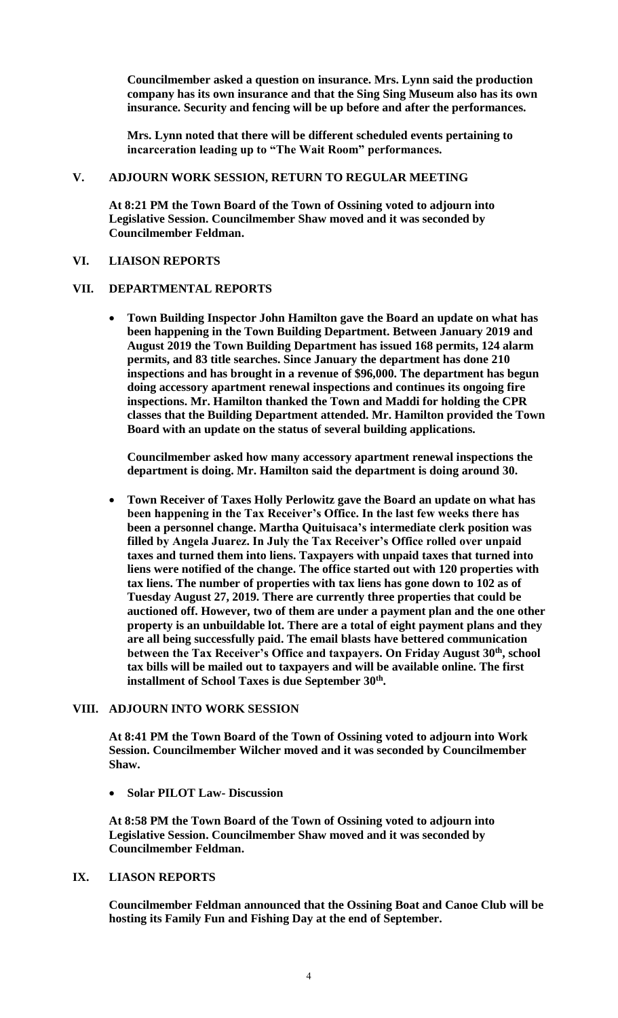**Councilmember asked a question on insurance. Mrs. Lynn said the production company has its own insurance and that the Sing Sing Museum also has its own insurance. Security and fencing will be up before and after the performances.** 

**Mrs. Lynn noted that there will be different scheduled events pertaining to incarceration leading up to "The Wait Room" performances.**

#### **V. ADJOURN WORK SESSION, RETURN TO REGULAR MEETING**

**At 8:21 PM the Town Board of the Town of Ossining voted to adjourn into Legislative Session. Councilmember Shaw moved and it was seconded by Councilmember Feldman.**

#### **VI. LIAISON REPORTS**

#### **VII. DEPARTMENTAL REPORTS**

 **Town Building Inspector John Hamilton gave the Board an update on what has been happening in the Town Building Department. Between January 2019 and August 2019 the Town Building Department has issued 168 permits, 124 alarm permits, and 83 title searches. Since January the department has done 210 inspections and has brought in a revenue of \$96,000. The department has begun doing accessory apartment renewal inspections and continues its ongoing fire inspections. Mr. Hamilton thanked the Town and Maddi for holding the CPR classes that the Building Department attended. Mr. Hamilton provided the Town Board with an update on the status of several building applications.**

**Councilmember asked how many accessory apartment renewal inspections the department is doing. Mr. Hamilton said the department is doing around 30.** 

 **Town Receiver of Taxes Holly Perlowitz gave the Board an update on what has been happening in the Tax Receiver's Office. In the last few weeks there has been a personnel change. Martha Quituisaca's intermediate clerk position was filled by Angela Juarez. In July the Tax Receiver's Office rolled over unpaid taxes and turned them into liens. Taxpayers with unpaid taxes that turned into liens were notified of the change. The office started out with 120 properties with tax liens. The number of properties with tax liens has gone down to 102 as of Tuesday August 27, 2019. There are currently three properties that could be auctioned off. However, two of them are under a payment plan and the one other property is an unbuildable lot. There are a total of eight payment plans and they are all being successfully paid. The email blasts have bettered communication between the Tax Receiver's Office and taxpayers. On Friday August 30th, school tax bills will be mailed out to taxpayers and will be available online. The first installment of School Taxes is due September 30th .** 

### **VIII. ADJOURN INTO WORK SESSION**

**At 8:41 PM the Town Board of the Town of Ossining voted to adjourn into Work Session. Councilmember Wilcher moved and it was seconded by Councilmember Shaw.**

**Solar PILOT Law- Discussion**

**At 8:58 PM the Town Board of the Town of Ossining voted to adjourn into Legislative Session. Councilmember Shaw moved and it was seconded by Councilmember Feldman.**

### **IX. LIASON REPORTS**

**Councilmember Feldman announced that the Ossining Boat and Canoe Club will be hosting its Family Fun and Fishing Day at the end of September.**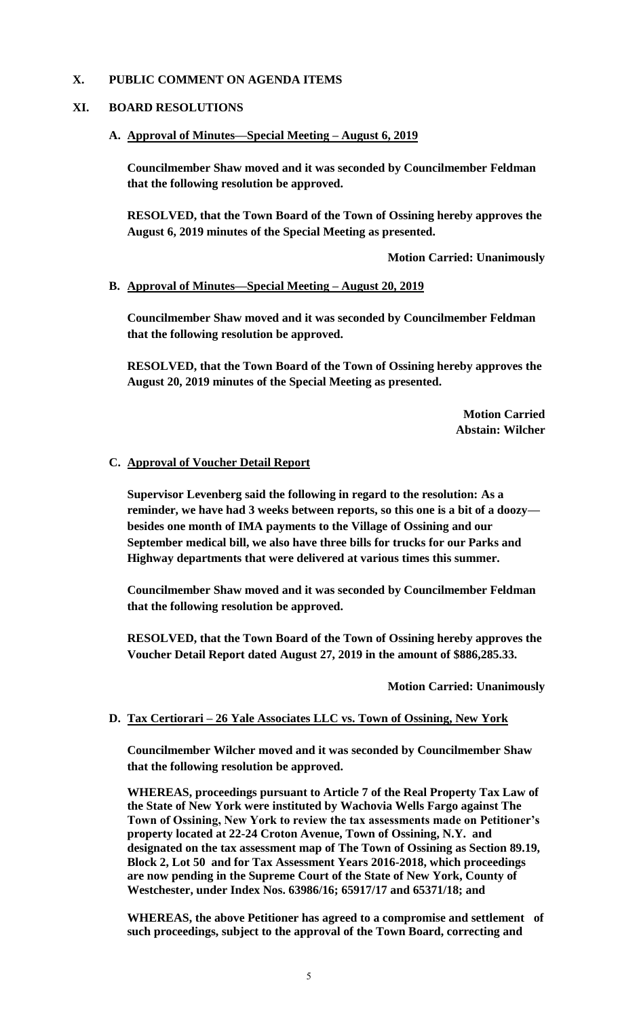## **X. PUBLIC COMMENT ON AGENDA ITEMS**

## **XI. BOARD RESOLUTIONS**

### **A. Approval of Minutes—Special Meeting – August 6, 2019**

**Councilmember Shaw moved and it was seconded by Councilmember Feldman that the following resolution be approved.**

**RESOLVED, that the Town Board of the Town of Ossining hereby approves the August 6, 2019 minutes of the Special Meeting as presented.**

**Motion Carried: Unanimously**

### **B. Approval of Minutes—Special Meeting – August 20, 2019**

**Councilmember Shaw moved and it was seconded by Councilmember Feldman that the following resolution be approved.**

**RESOLVED, that the Town Board of the Town of Ossining hereby approves the August 20, 2019 minutes of the Special Meeting as presented.**

> **Motion Carried Abstain: Wilcher**

### **C. Approval of Voucher Detail Report**

**Supervisor Levenberg said the following in regard to the resolution: As a reminder, we have had 3 weeks between reports, so this one is a bit of a doozy besides one month of IMA payments to the Village of Ossining and our September medical bill, we also have three bills for trucks for our Parks and Highway departments that were delivered at various times this summer.**

**Councilmember Shaw moved and it was seconded by Councilmember Feldman that the following resolution be approved.**

**RESOLVED, that the Town Board of the Town of Ossining hereby approves the Voucher Detail Report dated August 27, 2019 in the amount of \$886,285.33.**

**Motion Carried: Unanimously**

### **D. Tax Certiorari – 26 Yale Associates LLC vs. Town of Ossining, New York**

**Councilmember Wilcher moved and it was seconded by Councilmember Shaw that the following resolution be approved.**

**WHEREAS, proceedings pursuant to Article 7 of the Real Property Tax Law of the State of New York were instituted by Wachovia Wells Fargo against The Town of Ossining, New York to review the tax assessments made on Petitioner's property located at 22-24 Croton Avenue, Town of Ossining, N.Y. and designated on the tax assessment map of The Town of Ossining as Section 89.19, Block 2, Lot 50 and for Tax Assessment Years 2016-2018, which proceedings are now pending in the Supreme Court of the State of New York, County of Westchester, under Index Nos. 63986/16; 65917/17 and 65371/18; and** 

**WHEREAS, the above Petitioner has agreed to a compromise and settlement of such proceedings, subject to the approval of the Town Board, correcting and**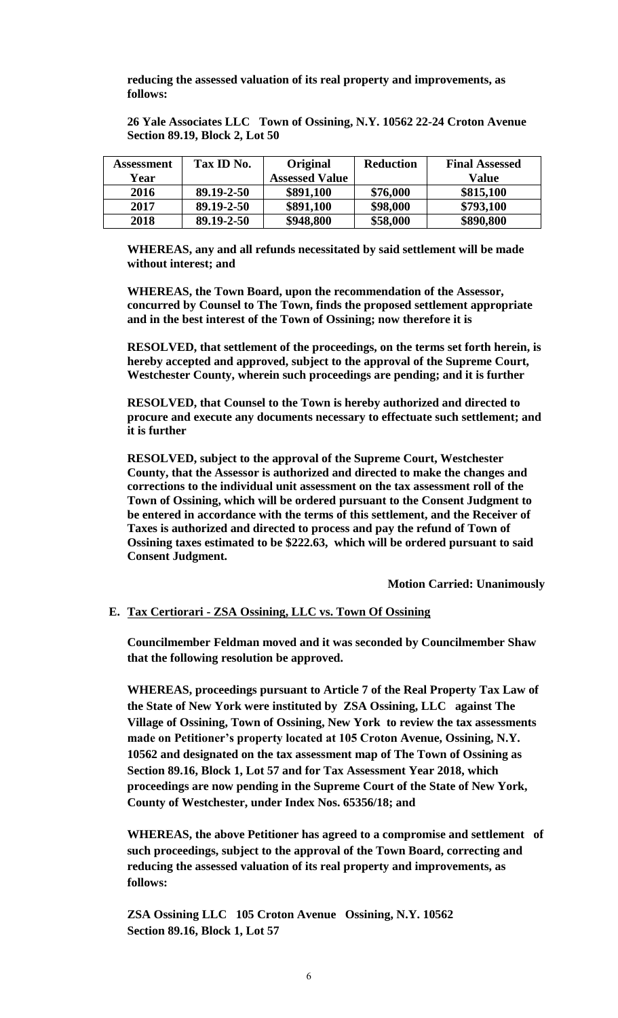**reducing the assessed valuation of its real property and improvements, as follows:**

**26 Yale Associates LLC Town of Ossining, N.Y. 10562 22-24 Croton Avenue Section 89.19, Block 2, Lot 50**

| Assessment | Tax ID No. | Original              | <b>Reduction</b> | <b>Final Assessed</b> |
|------------|------------|-----------------------|------------------|-----------------------|
| Year       |            | <b>Assessed Value</b> |                  | Value                 |
| 2016       | 89.19-2-50 | \$891,100             | \$76,000         | \$815,100             |
| 2017       | 89.19-2-50 | \$891,100             | \$98,000         | \$793,100             |
| 2018       | 89.19-2-50 | \$948,800             | \$58,000         | \$890,800             |

**WHEREAS, any and all refunds necessitated by said settlement will be made without interest; and** 

**WHEREAS, the Town Board, upon the recommendation of the Assessor, concurred by Counsel to The Town, finds the proposed settlement appropriate and in the best interest of the Town of Ossining; now therefore it is**

**RESOLVED, that settlement of the proceedings, on the terms set forth herein, is hereby accepted and approved, subject to the approval of the Supreme Court, Westchester County, wherein such proceedings are pending; and it is further**

**RESOLVED, that Counsel to the Town is hereby authorized and directed to procure and execute any documents necessary to effectuate such settlement; and it is further**

**RESOLVED, subject to the approval of the Supreme Court, Westchester County, that the Assessor is authorized and directed to make the changes and corrections to the individual unit assessment on the tax assessment roll of the Town of Ossining, which will be ordered pursuant to the Consent Judgment to be entered in accordance with the terms of this settlement, and the Receiver of Taxes is authorized and directed to process and pay the refund of Town of Ossining taxes estimated to be \$222.63, which will be ordered pursuant to said Consent Judgment.**

**Motion Carried: Unanimously**

### **E. Tax Certiorari - ZSA Ossining, LLC vs. Town Of Ossining**

**Councilmember Feldman moved and it was seconded by Councilmember Shaw that the following resolution be approved.**

**WHEREAS, proceedings pursuant to Article 7 of the Real Property Tax Law of the State of New York were instituted by ZSA Ossining, LLC against The Village of Ossining, Town of Ossining, New York to review the tax assessments made on Petitioner's property located at 105 Croton Avenue, Ossining, N.Y. 10562 and designated on the tax assessment map of The Town of Ossining as Section 89.16, Block 1, Lot 57 and for Tax Assessment Year 2018, which proceedings are now pending in the Supreme Court of the State of New York, County of Westchester, under Index Nos. 65356/18; and** 

**WHEREAS, the above Petitioner has agreed to a compromise and settlement of such proceedings, subject to the approval of the Town Board, correcting and reducing the assessed valuation of its real property and improvements, as follows:**

**ZSA Ossining LLC 105 Croton Avenue Ossining, N.Y. 10562 Section 89.16, Block 1, Lot 57**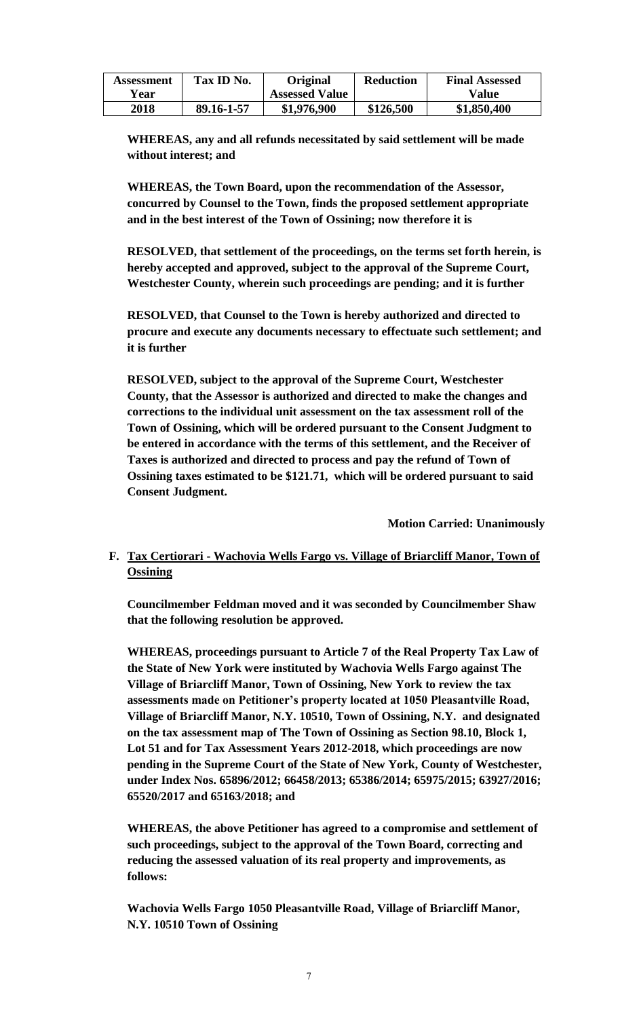| Assessment<br>Year | Tax ID No. | <b>Original</b><br><b>Assessed Value</b> | <b>Reduction</b> | <b>Final Assessed</b><br>Value |
|--------------------|------------|------------------------------------------|------------------|--------------------------------|
| 2018               | 89.16-1-57 | \$1,976,900                              | \$126,500        | \$1,850,400                    |

**WHEREAS, any and all refunds necessitated by said settlement will be made without interest; and** 

**WHEREAS, the Town Board, upon the recommendation of the Assessor, concurred by Counsel to the Town, finds the proposed settlement appropriate and in the best interest of the Town of Ossining; now therefore it is**

**RESOLVED, that settlement of the proceedings, on the terms set forth herein, is hereby accepted and approved, subject to the approval of the Supreme Court, Westchester County, wherein such proceedings are pending; and it is further**

**RESOLVED, that Counsel to the Town is hereby authorized and directed to procure and execute any documents necessary to effectuate such settlement; and it is further**

**RESOLVED, subject to the approval of the Supreme Court, Westchester County, that the Assessor is authorized and directed to make the changes and corrections to the individual unit assessment on the tax assessment roll of the Town of Ossining, which will be ordered pursuant to the Consent Judgment to be entered in accordance with the terms of this settlement, and the Receiver of Taxes is authorized and directed to process and pay the refund of Town of Ossining taxes estimated to be \$121.71, which will be ordered pursuant to said Consent Judgment.** 

**Motion Carried: Unanimously**

# **F. Tax Certiorari - Wachovia Wells Fargo vs. Village of Briarcliff Manor, Town of Ossining**

**Councilmember Feldman moved and it was seconded by Councilmember Shaw that the following resolution be approved.**

**WHEREAS, proceedings pursuant to Article 7 of the Real Property Tax Law of the State of New York were instituted by Wachovia Wells Fargo against The Village of Briarcliff Manor, Town of Ossining, New York to review the tax assessments made on Petitioner's property located at 1050 Pleasantville Road, Village of Briarcliff Manor, N.Y. 10510, Town of Ossining, N.Y. and designated on the tax assessment map of The Town of Ossining as Section 98.10, Block 1, Lot 51 and for Tax Assessment Years 2012-2018, which proceedings are now pending in the Supreme Court of the State of New York, County of Westchester, under Index Nos. 65896/2012; 66458/2013; 65386/2014; 65975/2015; 63927/2016; 65520/2017 and 65163/2018; and** 

**WHEREAS, the above Petitioner has agreed to a compromise and settlement of such proceedings, subject to the approval of the Town Board, correcting and reducing the assessed valuation of its real property and improvements, as follows:**

**Wachovia Wells Fargo 1050 Pleasantville Road, Village of Briarcliff Manor, N.Y. 10510 Town of Ossining**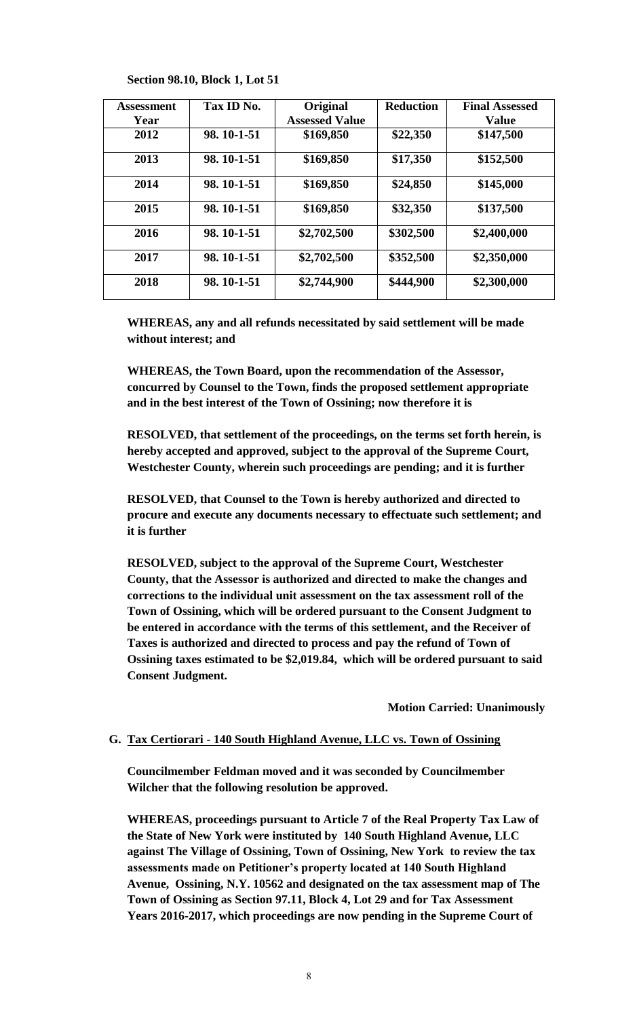| <b>Assessment</b><br>Year | Tax ID No. | Original<br><b>Assessed Value</b> | <b>Reduction</b> | <b>Final Assessed</b><br><b>Value</b> |
|---------------------------|------------|-----------------------------------|------------------|---------------------------------------|
| 2012                      | 98.10-1-51 |                                   |                  |                                       |
|                           |            | \$169,850                         | \$22,350         | \$147,500                             |
| 2013                      | 98.10-1-51 | \$169,850                         | \$17,350         | \$152,500                             |
| 2014                      | 98.10-1-51 | \$169,850                         | \$24,850         | \$145,000                             |
| 2015                      | 98.10-1-51 | \$169,850                         | \$32,350         | \$137,500                             |
| 2016                      | 98.10-1-51 | \$2,702,500                       | \$302,500        | \$2,400,000                           |
| 2017                      | 98.10-1-51 | \$2,702,500                       | \$352,500        | \$2,350,000                           |
| 2018                      | 98.10-1-51 | \$2,744,900                       | \$444,900        | \$2,300,000                           |

**Section 98.10, Block 1, Lot 51**

**WHEREAS, any and all refunds necessitated by said settlement will be made without interest; and** 

**WHEREAS, the Town Board, upon the recommendation of the Assessor, concurred by Counsel to the Town, finds the proposed settlement appropriate and in the best interest of the Town of Ossining; now therefore it is**

**RESOLVED, that settlement of the proceedings, on the terms set forth herein, is hereby accepted and approved, subject to the approval of the Supreme Court, Westchester County, wherein such proceedings are pending; and it is further**

**RESOLVED, that Counsel to the Town is hereby authorized and directed to procure and execute any documents necessary to effectuate such settlement; and it is further**

**RESOLVED, subject to the approval of the Supreme Court, Westchester County, that the Assessor is authorized and directed to make the changes and corrections to the individual unit assessment on the tax assessment roll of the Town of Ossining, which will be ordered pursuant to the Consent Judgment to be entered in accordance with the terms of this settlement, and the Receiver of Taxes is authorized and directed to process and pay the refund of Town of Ossining taxes estimated to be \$2,019.84, which will be ordered pursuant to said Consent Judgment.** 

**Motion Carried: Unanimously**

#### **G. Tax Certiorari - 140 South Highland Avenue, LLC vs. Town of Ossining**

**Councilmember Feldman moved and it was seconded by Councilmember Wilcher that the following resolution be approved.**

**WHEREAS, proceedings pursuant to Article 7 of the Real Property Tax Law of the State of New York were instituted by 140 South Highland Avenue, LLC against The Village of Ossining, Town of Ossining, New York to review the tax assessments made on Petitioner's property located at 140 South Highland Avenue, Ossining, N.Y. 10562 and designated on the tax assessment map of The Town of Ossining as Section 97.11, Block 4, Lot 29 and for Tax Assessment Years 2016-2017, which proceedings are now pending in the Supreme Court of**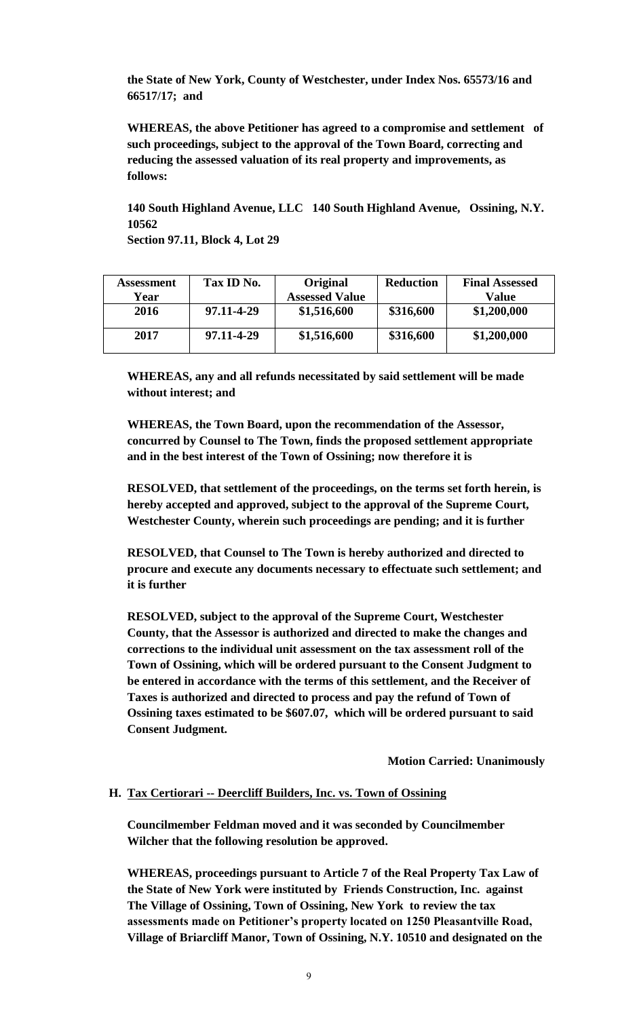**the State of New York, County of Westchester, under Index Nos. 65573/16 and 66517/17; and** 

**WHEREAS, the above Petitioner has agreed to a compromise and settlement of such proceedings, subject to the approval of the Town Board, correcting and reducing the assessed valuation of its real property and improvements, as follows:**

**140 South Highland Avenue, LLC 140 South Highland Avenue, Ossining, N.Y. 10562** 

**Section 97.11, Block 4, Lot 29**

| Assessment | Tax ID No. | Original              | <b>Reduction</b> | <b>Final Assessed</b> |
|------------|------------|-----------------------|------------------|-----------------------|
| Year       |            | <b>Assessed Value</b> |                  | Value                 |
| 2016       | 97.11-4-29 | \$1,516,600           | \$316,600        | \$1,200,000           |
| 2017       | 97.11-4-29 | \$1,516,600           | \$316,600        | \$1,200,000           |

**WHEREAS, any and all refunds necessitated by said settlement will be made without interest; and** 

**WHEREAS, the Town Board, upon the recommendation of the Assessor, concurred by Counsel to The Town, finds the proposed settlement appropriate and in the best interest of the Town of Ossining; now therefore it is**

**RESOLVED, that settlement of the proceedings, on the terms set forth herein, is hereby accepted and approved, subject to the approval of the Supreme Court, Westchester County, wherein such proceedings are pending; and it is further**

**RESOLVED, that Counsel to The Town is hereby authorized and directed to procure and execute any documents necessary to effectuate such settlement; and it is further**

**RESOLVED, subject to the approval of the Supreme Court, Westchester County, that the Assessor is authorized and directed to make the changes and corrections to the individual unit assessment on the tax assessment roll of the Town of Ossining, which will be ordered pursuant to the Consent Judgment to be entered in accordance with the terms of this settlement, and the Receiver of Taxes is authorized and directed to process and pay the refund of Town of Ossining taxes estimated to be \$607.07, which will be ordered pursuant to said Consent Judgment.** 

**Motion Carried: Unanimously**

#### **H. Tax Certiorari -- Deercliff Builders, Inc. vs. Town of Ossining**

**Councilmember Feldman moved and it was seconded by Councilmember Wilcher that the following resolution be approved.**

**WHEREAS, proceedings pursuant to Article 7 of the Real Property Tax Law of the State of New York were instituted by Friends Construction, Inc. against The Village of Ossining, Town of Ossining, New York to review the tax assessments made on Petitioner's property located on 1250 Pleasantville Road, Village of Briarcliff Manor, Town of Ossining, N.Y. 10510 and designated on the**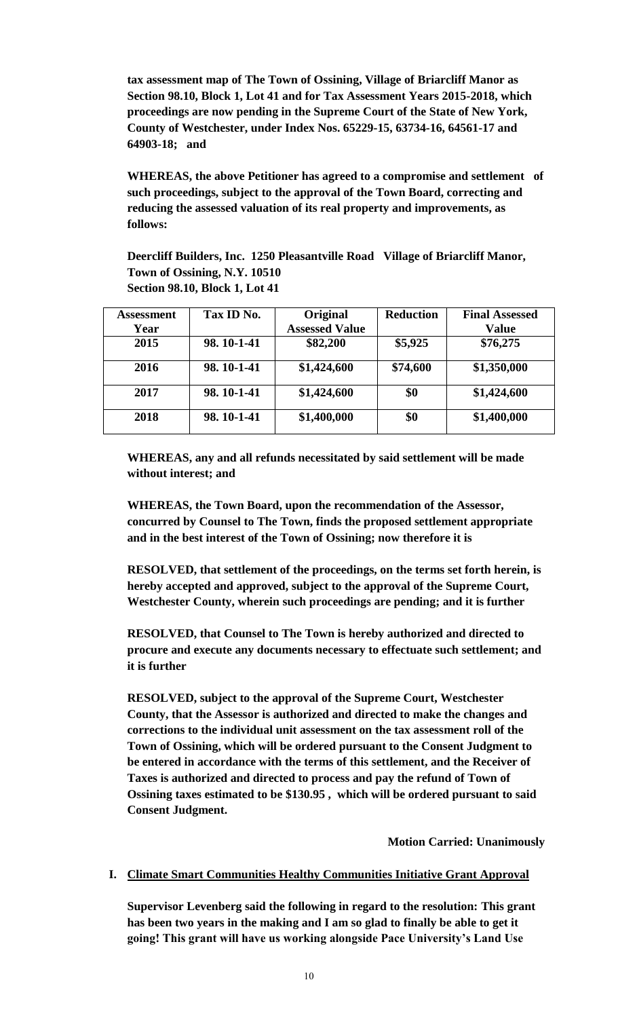**tax assessment map of The Town of Ossining, Village of Briarcliff Manor as Section 98.10, Block 1, Lot 41 and for Tax Assessment Years 2015-2018, which proceedings are now pending in the Supreme Court of the State of New York, County of Westchester, under Index Nos. 65229-15, 63734-16, 64561-17 and 64903-18; and** 

**WHEREAS, the above Petitioner has agreed to a compromise and settlement of such proceedings, subject to the approval of the Town Board, correcting and reducing the assessed valuation of its real property and improvements, as follows:**

**Deercliff Builders, Inc. 1250 Pleasantville Road Village of Briarcliff Manor, Town of Ossining, N.Y. 10510 Section 98.10, Block 1, Lot 41**

| <b>Assessment</b> | Tax ID No. | Original              | <b>Reduction</b> | <b>Final Assessed</b> |
|-------------------|------------|-----------------------|------------------|-----------------------|
| Year              |            | <b>Assessed Value</b> |                  | <b>Value</b>          |
| 2015              | 98.10-1-41 | \$82,200              | \$5,925          | \$76,275              |
| 2016              | 98.10-1-41 | \$1,424,600           | \$74,600         | \$1,350,000           |
| 2017              | 98.10-1-41 | \$1,424,600           | \$0              | \$1,424,600           |
| 2018              | 98.10-1-41 | \$1,400,000           | \$0              | \$1,400,000           |

**WHEREAS, any and all refunds necessitated by said settlement will be made without interest; and** 

**WHEREAS, the Town Board, upon the recommendation of the Assessor, concurred by Counsel to The Town, finds the proposed settlement appropriate and in the best interest of the Town of Ossining; now therefore it is**

**RESOLVED, that settlement of the proceedings, on the terms set forth herein, is hereby accepted and approved, subject to the approval of the Supreme Court, Westchester County, wherein such proceedings are pending; and it is further**

**RESOLVED, that Counsel to The Town is hereby authorized and directed to procure and execute any documents necessary to effectuate such settlement; and it is further**

**RESOLVED, subject to the approval of the Supreme Court, Westchester County, that the Assessor is authorized and directed to make the changes and corrections to the individual unit assessment on the tax assessment roll of the Town of Ossining, which will be ordered pursuant to the Consent Judgment to be entered in accordance with the terms of this settlement, and the Receiver of Taxes is authorized and directed to process and pay the refund of Town of Ossining taxes estimated to be \$130.95 , which will be ordered pursuant to said Consent Judgment.** 

**Motion Carried: Unanimously**

### **I. Climate Smart Communities Healthy Communities Initiative Grant Approval**

**Supervisor Levenberg said the following in regard to the resolution: This grant has been two years in the making and I am so glad to finally be able to get it going! This grant will have us working alongside Pace University's Land Use**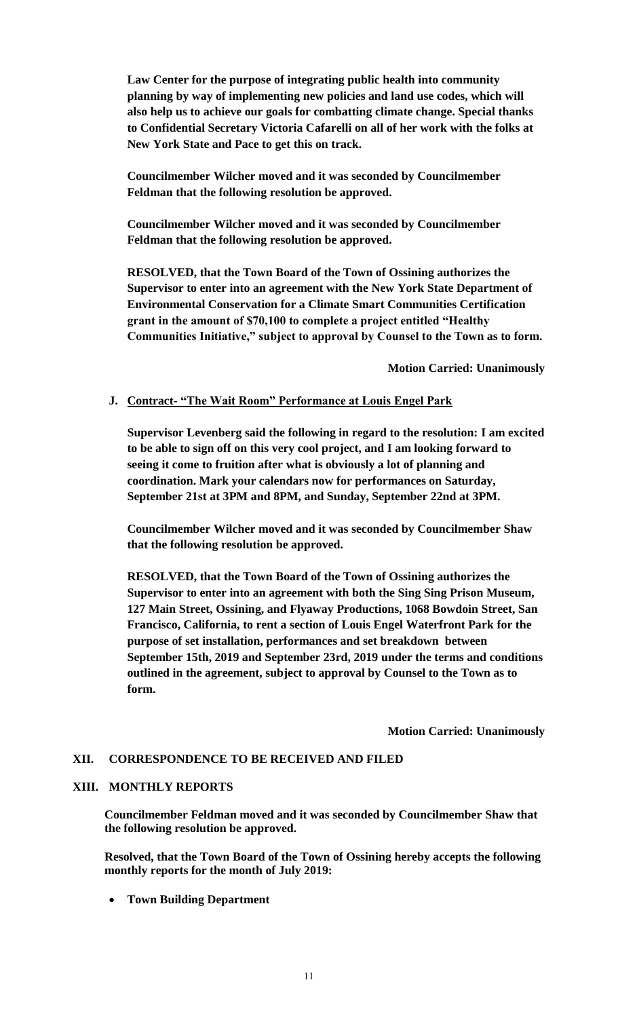**Law Center for the purpose of integrating public health into community planning by way of implementing new policies and land use codes, which will also help us to achieve our goals for combatting climate change. Special thanks to Confidential Secretary Victoria Cafarelli on all of her work with the folks at New York State and Pace to get this on track.**

**Councilmember Wilcher moved and it was seconded by Councilmember Feldman that the following resolution be approved.**

**Councilmember Wilcher moved and it was seconded by Councilmember Feldman that the following resolution be approved.**

**RESOLVED, that the Town Board of the Town of Ossining authorizes the Supervisor to enter into an agreement with the New York State Department of Environmental Conservation for a Climate Smart Communities Certification grant in the amount of \$70,100 to complete a project entitled "Healthy Communities Initiative," subject to approval by Counsel to the Town as to form.**

**Motion Carried: Unanimously**

### **J. Contract- "The Wait Room" Performance at Louis Engel Park**

**Supervisor Levenberg said the following in regard to the resolution: I am excited to be able to sign off on this very cool project, and I am looking forward to seeing it come to fruition after what is obviously a lot of planning and coordination. Mark your calendars now for performances on Saturday, September 21st at 3PM and 8PM, and Sunday, September 22nd at 3PM.**

**Councilmember Wilcher moved and it was seconded by Councilmember Shaw that the following resolution be approved.**

**RESOLVED, that the Town Board of the Town of Ossining authorizes the Supervisor to enter into an agreement with both the Sing Sing Prison Museum, 127 Main Street, Ossining, and Flyaway Productions, 1068 Bowdoin Street, San Francisco, California, to rent a section of Louis Engel Waterfront Park for the purpose of set installation, performances and set breakdown between September 15th, 2019 and September 23rd, 2019 under the terms and conditions outlined in the agreement, subject to approval by Counsel to the Town as to form.**

**Motion Carried: Unanimously**

# **XII. CORRESPONDENCE TO BE RECEIVED AND FILED**

### **XIII. MONTHLY REPORTS**

**Councilmember Feldman moved and it was seconded by Councilmember Shaw that the following resolution be approved.**

**Resolved, that the Town Board of the Town of Ossining hereby accepts the following monthly reports for the month of July 2019:**

**Town Building Department**